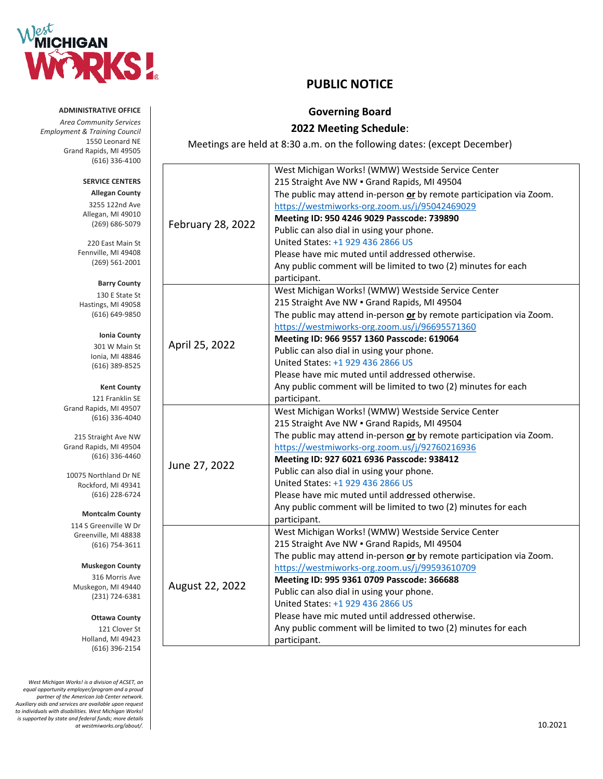

# **PUBLIC NOTICE**

## **Governing Board**

## **2022 Meeting Schedule**:

Meetings are held at 8:30 a.m. on the following dates: (except December)

|                   | West Michigan Works! (WMW) Westside Service Center                                                                 |
|-------------------|--------------------------------------------------------------------------------------------------------------------|
|                   | 215 Straight Ave NW . Grand Rapids, MI 49504                                                                       |
|                   | The public may attend in-person or by remote participation via Zoom.                                               |
|                   | https://westmiworks-org.zoom.us/j/95042469029                                                                      |
| February 28, 2022 | Meeting ID: 950 4246 9029 Passcode: 739890                                                                         |
|                   | Public can also dial in using your phone.                                                                          |
|                   | United States: +1 929 436 2866 US                                                                                  |
|                   | Please have mic muted until addressed otherwise.                                                                   |
|                   | Any public comment will be limited to two (2) minutes for each                                                     |
|                   | participant.                                                                                                       |
|                   | West Michigan Works! (WMW) Westside Service Center                                                                 |
|                   | 215 Straight Ave NW . Grand Rapids, MI 49504                                                                       |
|                   | The public may attend in-person or by remote participation via Zoom.                                               |
|                   | https://westmiworks-org.zoom.us/j/96695571360                                                                      |
|                   | Meeting ID: 966 9557 1360 Passcode: 619064                                                                         |
| April 25, 2022    | Public can also dial in using your phone.                                                                          |
|                   | United States: +1 929 436 2866 US                                                                                  |
|                   | Please have mic muted until addressed otherwise.                                                                   |
|                   | Any public comment will be limited to two (2) minutes for each                                                     |
|                   | participant.                                                                                                       |
|                   | West Michigan Works! (WMW) Westside Service Center                                                                 |
|                   | 215 Straight Ave NW . Grand Rapids, MI 49504                                                                       |
|                   | The public may attend in-person or by remote participation via Zoom.                                               |
|                   | https://westmiworks-org.zoom.us/j/92760216936                                                                      |
|                   | Meeting ID: 927 6021 6936 Passcode: 938412                                                                         |
| June 27, 2022     | Public can also dial in using your phone.                                                                          |
|                   |                                                                                                                    |
|                   | United States: +1 929 436 2866 US                                                                                  |
|                   | Please have mic muted until addressed otherwise.                                                                   |
|                   |                                                                                                                    |
|                   | Any public comment will be limited to two (2) minutes for each                                                     |
|                   | participant.                                                                                                       |
|                   | West Michigan Works! (WMW) Westside Service Center                                                                 |
|                   | 215 Straight Ave NW . Grand Rapids, MI 49504                                                                       |
|                   | The public may attend in-person or by remote participation via Zoom.                                               |
|                   | https://westmiworks-org.zoom.us/j/99593610709                                                                      |
| August 22, 2022   | Meeting ID: 995 9361 0709 Passcode: 366688                                                                         |
|                   | Public can also dial in using your phone.                                                                          |
|                   | United States: +1 929 436 2866 US                                                                                  |
|                   | Please have mic muted until addressed otherwise.<br>Any public comment will be limited to two (2) minutes for each |

## **ADMINISTRATIVE OFFICE** *Area Community Services*

*Employment & Training Council*  1550 Leonard NE Grand Rapids, MI 49505 (616) 336-4100

### **SERVICE CENTERS Allegan County**

3255 122nd Ave Allegan, MI 49010 (269) 686-5079

220 East Main St Fennville, MI 49408 (269) 561-2001

> **Barry County** 130 E State St

Hastings, MI 49058 (616) 649-9850

## **Ionia County**

301 W Main St Ionia, MI 48846 (616) 389-8525

### **Kent County**

121 Franklin SE Grand Rapids, MI 49507 (616) 336-4040

215 Straight Ave NW Grand Rapids, MI 49504 (616) 336-4460

10075 Northland Dr NE Rockford, MI 49341 (616) 228-6724

#### **Montcalm County**

114 S Greenville W Dr Greenville, MI 48838 (616) 754-3611

### **Muskegon County**

316 Morris Ave Muskegon, MI 49440 (231) 724-6381

### **Ottawa County**

121 Clover St Holland, MI 49423 (616) 396-2154

*West Michigan Works! is a division of ACSET, an equal opportunity employer/program and a proud partner of the American Job Center network. Auxiliary aids and services are available upon request to individuals with disabilities. West Michigan Works! is supported by state and federal funds; more details at westmiworks.org/about/.* 10.2021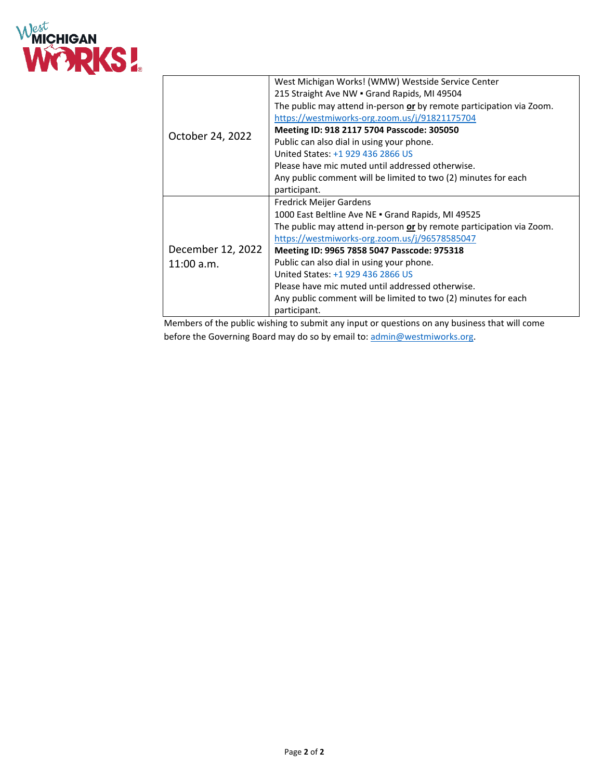

|                                 | West Michigan Works! (WMW) Westside Service Center                   |
|---------------------------------|----------------------------------------------------------------------|
|                                 | 215 Straight Ave NW . Grand Rapids, MI 49504                         |
|                                 | The public may attend in-person or by remote participation via Zoom. |
|                                 | https://westmiworks-org.zoom.us/j/91821175704                        |
| October 24, 2022                | Meeting ID: 918 2117 5704 Passcode: 305050                           |
|                                 | Public can also dial in using your phone.                            |
|                                 | United States: +1 929 436 2866 US                                    |
|                                 | Please have mic muted until addressed otherwise.                     |
|                                 | Any public comment will be limited to two (2) minutes for each       |
|                                 | participant.                                                         |
| December 12, 2022<br>11:00 a.m. | Fredrick Meijer Gardens                                              |
|                                 | 1000 East Beltline Ave NE . Grand Rapids, MI 49525                   |
|                                 | The public may attend in-person or by remote participation via Zoom. |
|                                 | https://westmiworks-org.zoom.us/j/96578585047                        |
|                                 | Meeting ID: 9965 7858 5047 Passcode: 975318                          |
|                                 | Public can also dial in using your phone.                            |
|                                 | United States: +1 929 436 2866 US                                    |
|                                 | Please have mic muted until addressed otherwise.                     |
|                                 | Any public comment will be limited to two (2) minutes for each       |
|                                 | participant.                                                         |
|                                 |                                                                      |

Members of the public wishing to submit any input or questions on any business that will come before the Governing Board may do so by email to[: admin@westmiworks.org.](mailto:admin@westmiworks.org)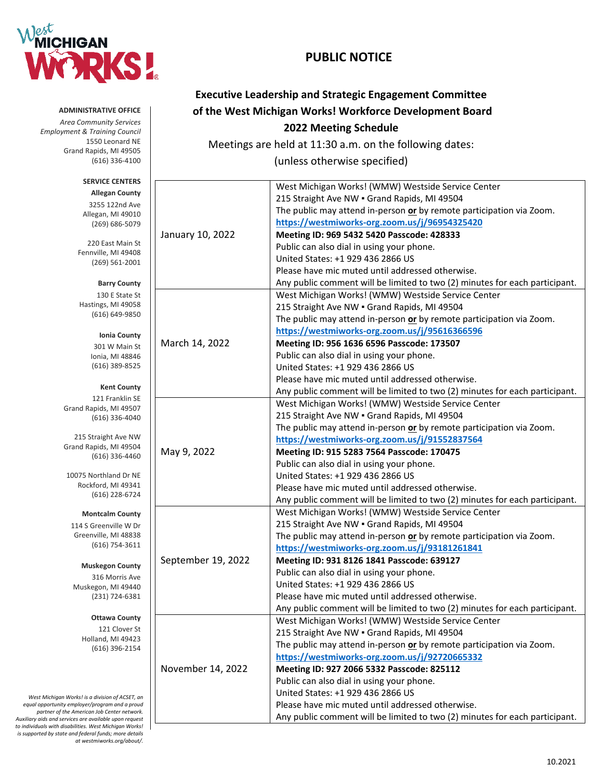

# **PUBLIC NOTICE**

| <b>Executive Leadership and Strategic Engagement Committee</b>                                  |                    |                                                                             |  |  |
|-------------------------------------------------------------------------------------------------|--------------------|-----------------------------------------------------------------------------|--|--|
| <b>ADMINISTRATIVE OFFICE</b>                                                                    |                    | of the West Michigan Works! Workforce Development Board                     |  |  |
| <b>Area Community Services</b><br><b>Employment &amp; Training Council</b>                      |                    | 2022 Meeting Schedule                                                       |  |  |
| 1550 Leonard NE                                                                                 |                    | Meetings are held at 11:30 a.m. on the following dates:                     |  |  |
| Grand Rapids, MI 49505                                                                          |                    |                                                                             |  |  |
| $(616)$ 336-4100                                                                                |                    | (unless otherwise specified)                                                |  |  |
| <b>SERVICE CENTERS</b>                                                                          |                    | West Michigan Works! (WMW) Westside Service Center                          |  |  |
| <b>Allegan County</b>                                                                           |                    | 215 Straight Ave NW . Grand Rapids, MI 49504                                |  |  |
| 3255 122nd Ave                                                                                  |                    | The public may attend in-person or by remote participation via Zoom.        |  |  |
| Allegan, MI 49010<br>$(269) 686 - 5079$                                                         |                    | https://westmiworks-org.zoom.us/j/96954325420                               |  |  |
|                                                                                                 | January 10, 2022   | Meeting ID: 969 5432 5420 Passcode: 428333                                  |  |  |
| 220 East Main St                                                                                |                    | Public can also dial in using your phone.                                   |  |  |
| Fennville, MI 49408                                                                             |                    | United States: +1 929 436 2866 US                                           |  |  |
| $(269) 561 - 2001$                                                                              |                    | Please have mic muted until addressed otherwise.                            |  |  |
|                                                                                                 |                    | Any public comment will be limited to two (2) minutes for each participant. |  |  |
| <b>Barry County</b>                                                                             |                    |                                                                             |  |  |
| 130 E State St<br>Hastings, MI 49058                                                            |                    | West Michigan Works! (WMW) Westside Service Center                          |  |  |
| (616) 649-9850                                                                                  |                    | 215 Straight Ave NW . Grand Rapids, MI 49504                                |  |  |
|                                                                                                 |                    | The public may attend in-person or by remote participation via Zoom.        |  |  |
| Ionia County                                                                                    |                    | https://westmiworks-org.zoom.us/j/95616366596                               |  |  |
| 301 W Main St                                                                                   | March 14, 2022     | Meeting ID: 956 1636 6596 Passcode: 173507                                  |  |  |
| Ionia, MI 48846                                                                                 |                    | Public can also dial in using your phone.                                   |  |  |
| (616) 389-8525                                                                                  |                    | United States: +1 929 436 2866 US                                           |  |  |
|                                                                                                 |                    | Please have mic muted until addressed otherwise.                            |  |  |
| <b>Kent County</b><br>121 Franklin SE                                                           |                    | Any public comment will be limited to two (2) minutes for each participant. |  |  |
| Grand Rapids, MI 49507                                                                          |                    | West Michigan Works! (WMW) Westside Service Center                          |  |  |
| (616) 336-4040                                                                                  |                    | 215 Straight Ave NW . Grand Rapids, MI 49504                                |  |  |
|                                                                                                 |                    | The public may attend in-person or by remote participation via Zoom.        |  |  |
| 215 Straight Ave NW                                                                             |                    | https://westmiworks-org.zoom.us/j/91552837564                               |  |  |
| Grand Rapids, MI 49504<br>$(616)$ 336-4460                                                      | May 9, 2022        | Meeting ID: 915 5283 7564 Passcode: 170475                                  |  |  |
|                                                                                                 |                    | Public can also dial in using your phone.                                   |  |  |
| 10075 Northland Dr NE                                                                           |                    | United States: +1 929 436 2866 US                                           |  |  |
| Rockford, MI 49341                                                                              |                    | Please have mic muted until addressed otherwise.                            |  |  |
| (616) 228-6724                                                                                  |                    | Any public comment will be limited to two (2) minutes for each participant. |  |  |
| <b>Montcalm County</b>                                                                          |                    | West Michigan Works! (WMW) Westside Service Center                          |  |  |
| 114 S Greenville W Dr                                                                           |                    | 215 Straight Ave NW . Grand Rapids, MI 49504                                |  |  |
| Greenville, MI 48838                                                                            |                    | The public may attend in-person or by remote participation via Zoom.        |  |  |
| $(616)$ 754-3611                                                                                |                    | https://westmiworks-org.zoom.us/j/93181261841                               |  |  |
|                                                                                                 | September 19, 2022 | Meeting ID: 931 8126 1841 Passcode: 639127                                  |  |  |
| <b>Muskegon County</b>                                                                          |                    | Public can also dial in using your phone.                                   |  |  |
| 316 Morris Ave<br>Muskegon, MI 49440                                                            |                    | United States: +1 929 436 2866 US                                           |  |  |
| (231) 724-6381                                                                                  |                    | Please have mic muted until addressed otherwise.                            |  |  |
|                                                                                                 |                    | Any public comment will be limited to two (2) minutes for each participant. |  |  |
| <b>Ottawa County</b>                                                                            |                    | West Michigan Works! (WMW) Westside Service Center                          |  |  |
| 121 Clover St                                                                                   |                    | 215 Straight Ave NW . Grand Rapids, MI 49504                                |  |  |
| Holland, MI 49423                                                                               |                    | The public may attend in-person or by remote participation via Zoom.        |  |  |
| (616) 396-2154                                                                                  |                    | https://westmiworks-org.zoom.us/j/92720665332                               |  |  |
|                                                                                                 | November 14, 2022  | Meeting ID: 927 2066 5332 Passcode: 825112                                  |  |  |
|                                                                                                 |                    | Public can also dial in using your phone.                                   |  |  |
|                                                                                                 |                    | United States: +1 929 436 2866 US                                           |  |  |
| West Michigan Works! is a division of ACSET, an<br>ual opportunity employer/program and a proud |                    | Please have mic muted until addressed otherwise.                            |  |  |
| partner of the American Job Center network.                                                     |                    | Any public comment will be limited to two (2) minutes for each participant. |  |  |
| ary aids and services are available upon request                                                |                    |                                                                             |  |  |

 $equal$ *Auxiliary aids and services are available upon request to individuals with disabilities. West Michigan Works! is supported by state and federal funds; more details at westmiworks.org/about/.*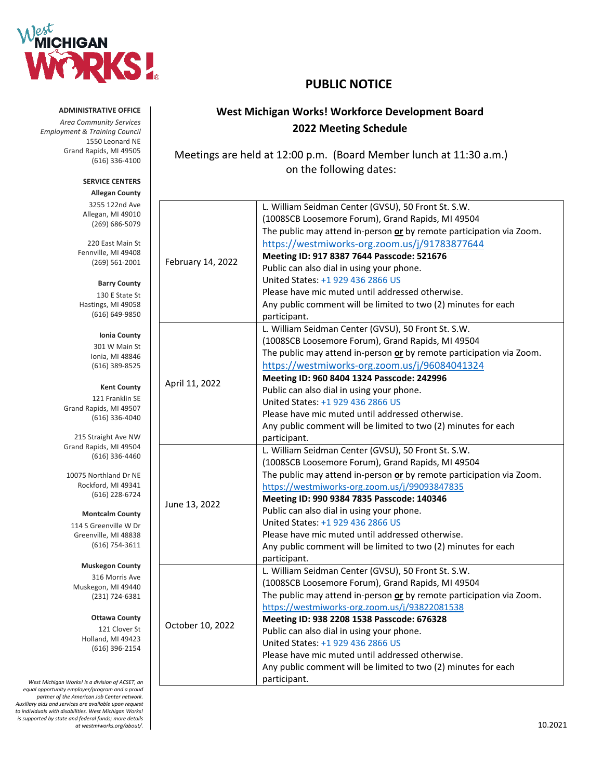

# **PUBLIC NOTICE**

# **West Michigan Works! Workforce Development Board 2022 Meeting Schedule**

Meetings are held at 12:00 p.m. (Board Member lunch at 11:30 a.m.) on the following dates:

|                   | L. William Seidman Center (GVSU), 50 Front St. S.W.                  |
|-------------------|----------------------------------------------------------------------|
|                   | (1008SCB Loosemore Forum), Grand Rapids, MI 49504                    |
|                   | The public may attend in-person or by remote participation via Zoom. |
|                   | https://westmiworks-org.zoom.us/j/91783877644                        |
| February 14, 2022 | Meeting ID: 917 8387 7644 Passcode: 521676                           |
|                   | Public can also dial in using your phone.                            |
|                   | United States: +1 929 436 2866 US                                    |
|                   | Please have mic muted until addressed otherwise.                     |
|                   | Any public comment will be limited to two (2) minutes for each       |
|                   | participant.                                                         |
|                   | L. William Seidman Center (GVSU), 50 Front St. S.W.                  |
|                   | (1008SCB Loosemore Forum), Grand Rapids, MI 49504                    |
|                   | The public may attend in-person or by remote participation via Zoom. |
|                   | https://westmiworks-org.zoom.us/j/96084041324                        |
|                   | Meeting ID: 960 8404 1324 Passcode: 242996                           |
| April 11, 2022    | Public can also dial in using your phone.                            |
|                   | United States: +1 929 436 2866 US                                    |
|                   | Please have mic muted until addressed otherwise.                     |
|                   | Any public comment will be limited to two (2) minutes for each       |
|                   | participant.                                                         |
|                   | L. William Seidman Center (GVSU), 50 Front St. S.W.                  |
|                   | (1008SCB Loosemore Forum), Grand Rapids, MI 49504                    |
|                   | The public may attend in-person or by remote participation via Zoom. |
|                   | https://westmiworks-org.zoom.us/j/99093847835                        |
| June 13, 2022     | Meeting ID: 990 9384 7835 Passcode: 140346                           |
|                   | Public can also dial in using your phone.                            |
|                   | United States: +1 929 436 2866 US                                    |
|                   | Please have mic muted until addressed otherwise.                     |
|                   | Any public comment will be limited to two (2) minutes for each       |
|                   | participant.                                                         |
|                   | L. William Seidman Center (GVSU), 50 Front St. S.W.                  |
|                   | (1008SCB Loosemore Forum), Grand Rapids, MI 49504                    |
|                   | The public may attend in-person or by remote participation via Zoom. |
|                   | https://westmiworks-org.zoom.us/j/93822081538                        |
|                   | Meeting ID: 938 2208 1538 Passcode: 676328                           |
| October 10, 2022  | Public can also dial in using your phone.                            |
|                   | United States: +1 929 436 2866 US                                    |
|                   | Please have mic muted until addressed otherwise.                     |
|                   | Any public comment will be limited to two (2) minutes for each       |
|                   | participant.                                                         |

**ADMINISTRATIVE OFFICE**

*Area Community Services Employment & Training Council*  1550 Leonard NE Grand Rapids, MI 49505 (616) 336-4100

#### **SERVICE CENTERS Allegan County**

3255 122nd Ave Allegan, MI 49010 (269) 686-5079

220 East Main St Fennville, MI 49408 (269) 561-2001

**Barry County** 130 E State St Hastings, MI 49058 (616) 649-9850

> **Ionia County** 301 W Main St Ionia, MI 48846 (616) 389-8525

**Kent County**

121 Franklin SE Grand Rapids, MI 49507 (616) 336-4040

215 Straight Ave NW Grand Rapids, MI 49504 (616) 336-4460

10075 Northland Dr NE Rockford, MI 49341 (616) 228-6724

**Montcalm County**

114 S Greenville W Dr Greenville, MI 48838 (616) 754-3611

**Muskegon County** 316 Morris Ave

Muskegon, MI 49440 (231) 724-6381

> **Ottawa County** 121 Clover St

Holland, MI 49423 (616) 396-2154

*West Michigan Works! is a division of ACSET, an equal opportunity employer/program and a proud partner of the American Job Center network. Auxiliary aids and services are available upon request to individuals with disabilities. West Michigan Works! is supported by state and federal funds; more details at westmiworks.org/about/.* 10.2021